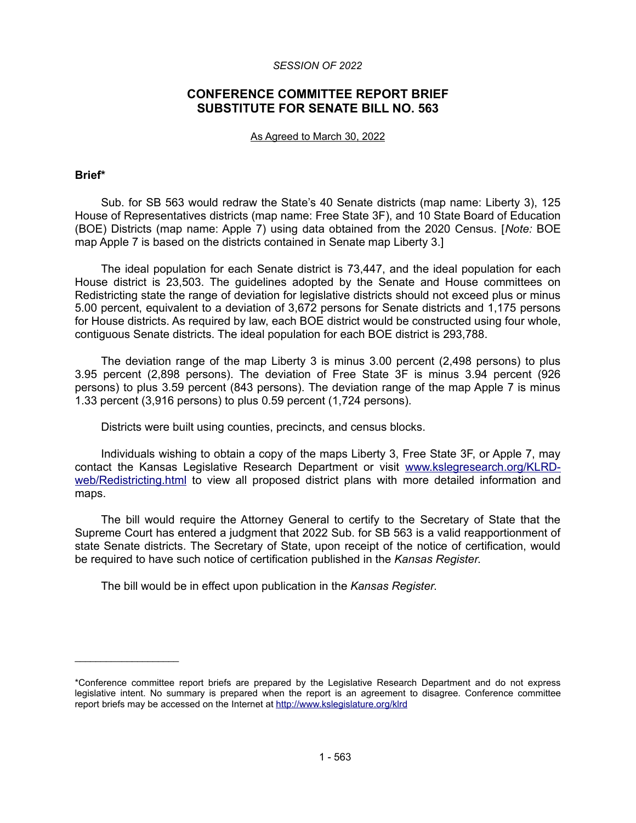### *SESSION OF 2022*

# **CONFERENCE COMMITTEE REPORT BRIEF SUBSTITUTE FOR SENATE BILL NO. 563**

#### As Agreed to March 30, 2022

## **Brief\***

 $\mathcal{L}=\{1,2,3,4,5\}$ 

Sub. for SB 563 would redraw the State's 40 Senate districts (map name: Liberty 3), 125 House of Representatives districts (map name: Free State 3F), and 10 State Board of Education (BOE) Districts (map name: Apple 7) using data obtained from the 2020 Census. [*Note:* BOE map Apple 7 is based on the districts contained in Senate map Liberty 3.]

The ideal population for each Senate district is 73,447, and the ideal population for each House district is 23,503. The guidelines adopted by the Senate and House committees on Redistricting state the range of deviation for legislative districts should not exceed plus or minus 5.00 percent, equivalent to a deviation of 3,672 persons for Senate districts and 1,175 persons for House districts. As required by law, each BOE district would be constructed using four whole, contiguous Senate districts. The ideal population for each BOE district is 293,788.

The deviation range of the map Liberty 3 is minus 3.00 percent (2,498 persons) to plus 3.95 percent (2,898 persons). The deviation of Free State 3F is minus 3.94 percent (926 persons) to plus 3.59 percent (843 persons). The deviation range of the map Apple 7 is minus 1.33 percent (3,916 persons) to plus 0.59 percent (1,724 persons).

Districts were built using counties, precincts, and census blocks.

Individuals wishing to obtain a copy of the maps Liberty 3, Free State 3F, or Apple 7, may contact the Kansas Legislative Research Department or visit [www.kslegresearch.org/KLRD](http://www.kslegresearch.org/KLRD-web/Redistricting.html)[web/Redistricting.html](http://www.kslegresearch.org/KLRD-web/Redistricting.html) to view all proposed district plans with more detailed information and maps.

The bill would require the Attorney General to certify to the Secretary of State that the Supreme Court has entered a judgment that 2022 Sub. for SB 563 is a valid reapportionment of state Senate districts. The Secretary of State, upon receipt of the notice of certification, would be required to have such notice of certification published in the *Kansas Register*.

The bill would be in effect upon publication in the *Kansas Register*.

<sup>\*</sup>Conference committee report briefs are prepared by the Legislative Research Department and do not express legislative intent. No summary is prepared when the report is an agreement to disagree. Conference committee report briefs may be accessed on the Internet at<http://www.kslegislature.org/klrd>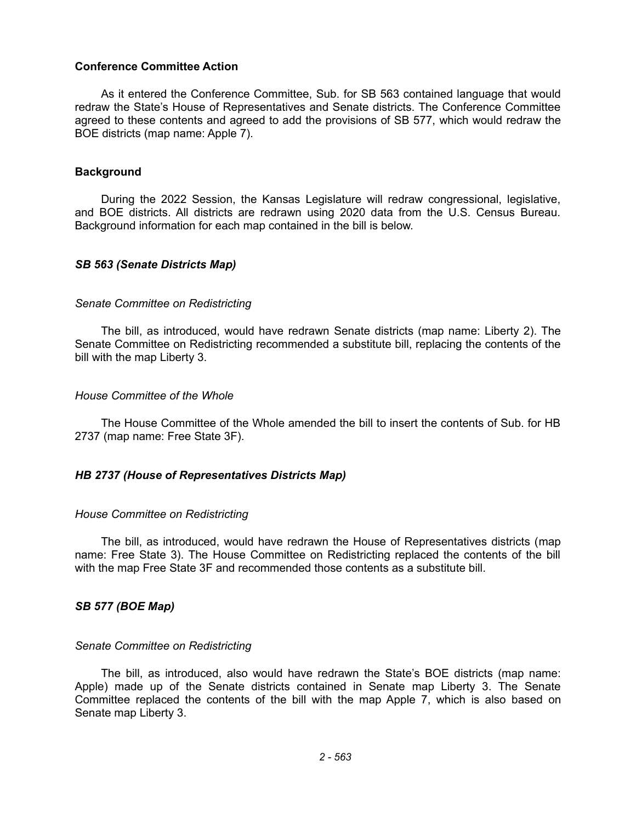### **Conference Committee Action**

As it entered the Conference Committee, Sub. for SB 563 contained language that would redraw the State's House of Representatives and Senate districts. The Conference Committee agreed to these contents and agreed to add the provisions of SB 577, which would redraw the BOE districts (map name: Apple 7).

### **Background**

During the 2022 Session, the Kansas Legislature will redraw congressional, legislative, and BOE districts. All districts are redrawn using 2020 data from the U.S. Census Bureau. Background information for each map contained in the bill is below.

### *SB 563 (Senate Districts Map)*

### *Senate Committee on Redistricting*

The bill, as introduced, would have redrawn Senate districts (map name: Liberty 2). The Senate Committee on Redistricting recommended a substitute bill, replacing the contents of the bill with the map Liberty 3.

### *House Committee of the Whole*

The House Committee of the Whole amended the bill to insert the contents of Sub. for HB 2737 (map name: Free State 3F).

## *HB 2737 (House of Representatives Districts Map)*

#### *House Committee on Redistricting*

The bill, as introduced, would have redrawn the House of Representatives districts (map name: Free State 3). The House Committee on Redistricting replaced the contents of the bill with the map Free State 3F and recommended those contents as a substitute bill.

# *SB 577 (BOE Map)*

#### *Senate Committee on Redistricting*

The bill, as introduced, also would have redrawn the State's BOE districts (map name: Apple) made up of the Senate districts contained in Senate map Liberty 3. The Senate Committee replaced the contents of the bill with the map Apple 7, which is also based on Senate map Liberty 3.